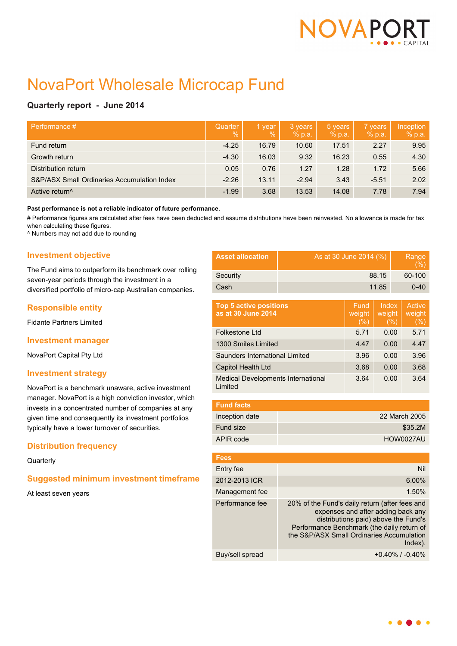

# NovaPort Wholesale Microcap Fund

# **Quarterly report - June 2014**

| Performance #                               | Quarter<br>$\frac{9}{6}$ | 1 year<br>$\%$ | 3 years<br>% p.a. | 5 years<br>% p.a. | 7 years<br>% p.a. | Inception<br>% p.a. |
|---------------------------------------------|--------------------------|----------------|-------------------|-------------------|-------------------|---------------------|
| Fund return                                 | $-4.25$                  | 16.79          | 10.60             | 17.51             | 2.27              | 9.95                |
| Growth return                               | $-4.30$                  | 16.03          | 9.32              | 16.23             | 0.55              | 4.30                |
| Distribution return                         | 0.05                     | 0.76           | 1.27              | 1.28              | 1.72              | 5.66                |
| S&P/ASX Small Ordinaries Accumulation Index | $-2.26$                  | 13.11          | $-2.94$           | 3.43              | $-5.51$           | 2.02                |
| Active return <sup>^</sup>                  | $-1.99$                  | 3.68           | 13.53             | 14.08             | 7.78              | 7.94                |

#### **Past performance is not a reliable indicator of future performance.**

# Performance figures are calculated after fees have been deducted and assume distributions have been reinvested. No allowance is made for tax when calculating these figures.

^ Numbers may not add due to rounding

# **Investment objective**

The Fund aims to outperform its benchmark over rolling seven-year periods through the investment in a diversified portfolio of micro-cap Australian companies.

# **Responsible entity**

Fidante Partners Limited

#### **Investment manager**

NovaPort Capital Pty Ltd

#### **Investment strategy**

NovaPort is a benchmark unaware, active investment manager. NovaPort is a high conviction investor, which invests in a concentrated number of companies at any given time and consequently its investment portfolios typically have a lower turnover of securities.

# **Distribution frequency**

#### **Quarterly**

# **Suggested minimum investment timeframe**

At least seven years

| <b>Asset allocation</b>                               | As at 30 June 2014 (%)                                                                                                                                                                                                                |                       |                         | Range<br>(%) |                                 |
|-------------------------------------------------------|---------------------------------------------------------------------------------------------------------------------------------------------------------------------------------------------------------------------------------------|-----------------------|-------------------------|--------------|---------------------------------|
| Security                                              | 88.15                                                                                                                                                                                                                                 |                       |                         |              | 60-100                          |
| Cash                                                  | 11.85                                                                                                                                                                                                                                 |                       |                         |              | $0 - 40$                        |
| <b>Top 5 active positions</b><br>as at 30 June 2014   |                                                                                                                                                                                                                                       | Fund<br>weight<br>(%) | Index<br>weight<br>(% ) |              | <b>Active</b><br>weight<br>(% ) |
| Folkestone Ltd                                        |                                                                                                                                                                                                                                       | 5.71                  | 0.00                    |              | 5.71                            |
| 1300 Smiles Limited                                   | 4.47                                                                                                                                                                                                                                  |                       | 0.00                    | 4.47         |                                 |
| Saunders International Limited                        |                                                                                                                                                                                                                                       | 3.96                  |                         | 0.00         | 3.96                            |
| Capitol Health Ltd                                    | 3.68                                                                                                                                                                                                                                  | 0.00                  |                         | 3.68         |                                 |
| <b>Medical Developments International</b><br>I imited | 3.64                                                                                                                                                                                                                                  | 0.00                  |                         | 3.64         |                                 |
|                                                       |                                                                                                                                                                                                                                       |                       |                         |              |                                 |
| <b>Fund facts</b>                                     |                                                                                                                                                                                                                                       |                       |                         |              |                                 |
| Inception date                                        | 22 March 2005                                                                                                                                                                                                                         |                       |                         |              |                                 |
| Fund size                                             | \$35.2M                                                                                                                                                                                                                               |                       |                         |              |                                 |
| APIR code                                             | HOW0027AU                                                                                                                                                                                                                             |                       |                         |              |                                 |
| <b>Fees</b>                                           |                                                                                                                                                                                                                                       |                       |                         |              |                                 |
| Entry fee                                             |                                                                                                                                                                                                                                       |                       |                         |              | Nil                             |
| 2012-2013 ICR                                         | 6.00%                                                                                                                                                                                                                                 |                       |                         |              |                                 |
| Management fee                                        | 1.50%                                                                                                                                                                                                                                 |                       |                         |              |                                 |
| Performance fee                                       | 20% of the Fund's daily return (after fees and<br>expenses and after adding back any<br>distributions paid) above the Fund's<br>Performance Benchmark (the daily return of<br>the S&P/ASX Small Ordinaries Accumulation<br>$Index)$ . |                       |                         |              |                                 |

Buy/sell spread  $+0.40\%$  / -0.40%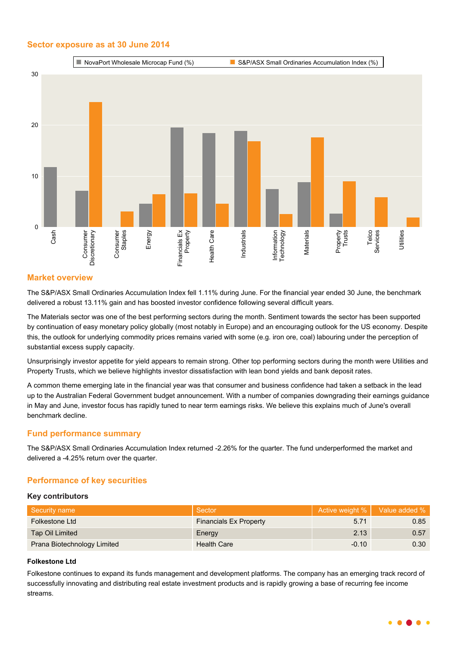## **Sector exposure as at 30 June 2014**



# **Market overview**

The S&P/ASX Small Ordinaries Accumulation Index fell 1.11% during June. For the financial year ended 30 June, the benchmark delivered a robust 13.11% gain and has boosted investor confidence following several difficult years.

The Materials sector was one of the best performing sectors during the month. Sentiment towards the sector has been supported by continuation of easy monetary policy globally (most notably in Europe) and an encouraging outlook for the US economy. Despite this, the outlook for underlying commodity prices remains varied with some (e.g. iron ore, coal) labouring under the perception of substantial excess supply capacity.

Unsurprisingly investor appetite for yield appears to remain strong. Other top performing sectors during the month were Utilities and Property Trusts, which we believe highlights investor dissatisfaction with lean bond yields and bank deposit rates.

A common theme emerging late in the financial year was that consumer and business confidence had taken a setback in the lead up to the Australian Federal Government budget announcement. With a number of companies downgrading their earnings guidance in May and June, investor focus has rapidly tuned to near term earnings risks. We believe this explains much of June's overall benchmark decline.

# **Fund performance summary**

The S&P/ASX Small Ordinaries Accumulation Index returned -2.26% for the quarter. The fund underperformed the market and delivered a -4.25% return over the quarter.

# **Performance of key securities**

#### **Key contributors**

| Security name               | Sector                        | Active weight %   Value added % |                   |
|-----------------------------|-------------------------------|---------------------------------|-------------------|
| Folkestone Ltd              | <b>Financials Ex Property</b> | 5.71                            | 0.85              |
| Tap Oil Limited             | Energy                        | 2.13                            | 0.57              |
| Prana Biotechnology Limited | <b>Health Care</b>            | $-0.10$                         | 0.30 <sub>1</sub> |

#### **Folkestone Ltd**

Folkestone continues to expand its funds management and development platforms. The company has an emerging track record of successfully innovating and distributing real estate investment products and is rapidly growing a base of recurring fee income streams.